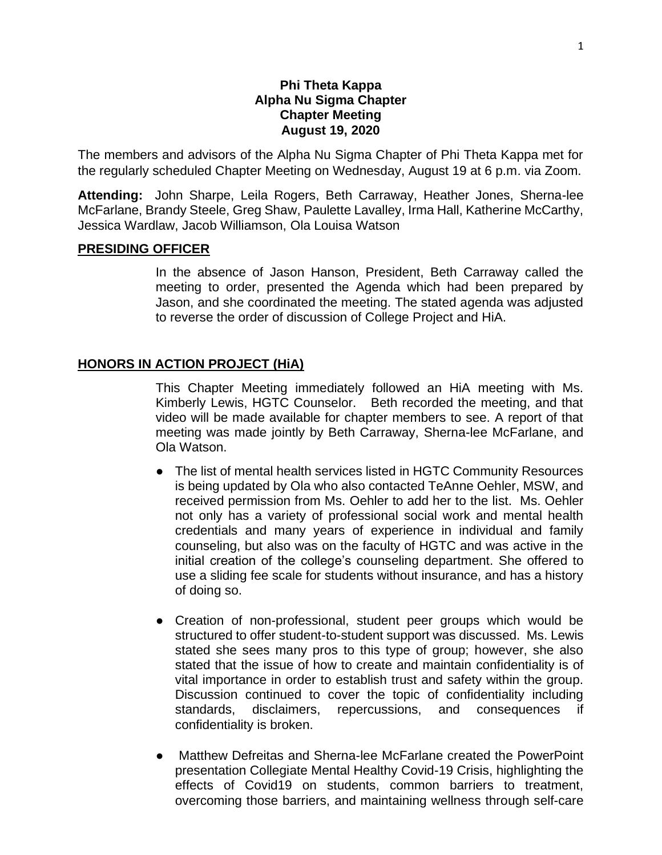### **Phi Theta Kappa Alpha Nu Sigma Chapter Chapter Meeting August 19, 2020**

The members and advisors of the Alpha Nu Sigma Chapter of Phi Theta Kappa met for the regularly scheduled Chapter Meeting on Wednesday, August 19 at 6 p.m. via Zoom.

**Attending:** John Sharpe, Leila Rogers, Beth Carraway, Heather Jones, Sherna-lee McFarlane, Brandy Steele, Greg Shaw, Paulette Lavalley, Irma Hall, Katherine McCarthy, Jessica Wardlaw, Jacob Williamson, Ola Louisa Watson

#### **PRESIDING OFFICER**

In the absence of Jason Hanson, President, Beth Carraway called the meeting to order, presented the Agenda which had been prepared by Jason, and she coordinated the meeting. The stated agenda was adjusted to reverse the order of discussion of College Project and HiA.

#### **HONORS IN ACTION PROJECT (HiA)**

This Chapter Meeting immediately followed an HiA meeting with Ms. Kimberly Lewis, HGTC Counselor. Beth recorded the meeting, and that video will be made available for chapter members to see. A report of that meeting was made jointly by Beth Carraway, Sherna-lee McFarlane, and Ola Watson.

- The list of mental health services listed in HGTC Community Resources is being updated by Ola who also contacted TeAnne Oehler, MSW, and received permission from Ms. Oehler to add her to the list. Ms. Oehler not only has a variety of professional social work and mental health credentials and many years of experience in individual and family counseling, but also was on the faculty of HGTC and was active in the initial creation of the college's counseling department. She offered to use a sliding fee scale for students without insurance, and has a history of doing so.
- Creation of non-professional, student peer groups which would be structured to offer student-to-student support was discussed. Ms. Lewis stated she sees many pros to this type of group; however, she also stated that the issue of how to create and maintain confidentiality is of vital importance in order to establish trust and safety within the group. Discussion continued to cover the topic of confidentiality including standards, disclaimers, repercussions, and consequences if confidentiality is broken.
- Matthew Defreitas and Sherna-lee McFarlane created the PowerPoint presentation Collegiate Mental Healthy Covid-19 Crisis, highlighting the effects of Covid19 on students, common barriers to treatment, overcoming those barriers, and maintaining wellness through self-care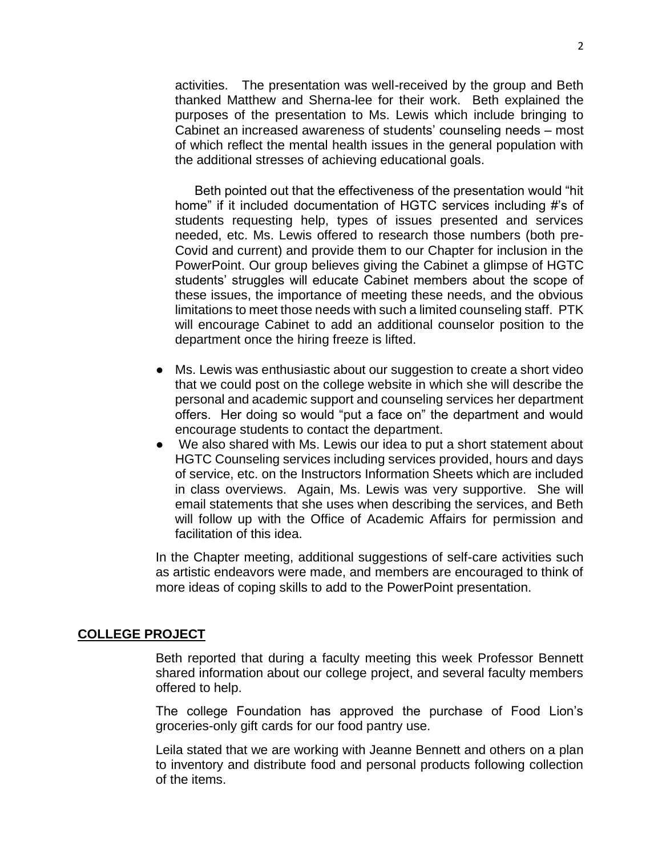activities. The presentation was well-received by the group and Beth thanked Matthew and Sherna-lee for their work. Beth explained the purposes of the presentation to Ms. Lewis which include bringing to Cabinet an increased awareness of students' counseling needs – most of which reflect the mental health issues in the general population with the additional stresses of achieving educational goals.

Beth pointed out that the effectiveness of the presentation would "hit home" if it included documentation of HGTC services including #'s of students requesting help, types of issues presented and services needed, etc. Ms. Lewis offered to research those numbers (both pre-Covid and current) and provide them to our Chapter for inclusion in the PowerPoint. Our group believes giving the Cabinet a glimpse of HGTC students' struggles will educate Cabinet members about the scope of these issues, the importance of meeting these needs, and the obvious limitations to meet those needs with such a limited counseling staff. PTK will encourage Cabinet to add an additional counselor position to the department once the hiring freeze is lifted.

- Ms. Lewis was enthusiastic about our suggestion to create a short video that we could post on the college website in which she will describe the personal and academic support and counseling services her department offers. Her doing so would "put a face on" the department and would encourage students to contact the department.
- We also shared with Ms. Lewis our idea to put a short statement about HGTC Counseling services including services provided, hours and days of service, etc. on the Instructors Information Sheets which are included in class overviews. Again, Ms. Lewis was very supportive. She will email statements that she uses when describing the services, and Beth will follow up with the Office of Academic Affairs for permission and facilitation of this idea.

In the Chapter meeting, additional suggestions of self-care activities such as artistic endeavors were made, and members are encouraged to think of more ideas of coping skills to add to the PowerPoint presentation.

#### **COLLEGE PROJECT**

Beth reported that during a faculty meeting this week Professor Bennett shared information about our college project, and several faculty members offered to help.

The college Foundation has approved the purchase of Food Lion's groceries-only gift cards for our food pantry use.

Leila stated that we are working with Jeanne Bennett and others on a plan to inventory and distribute food and personal products following collection of the items.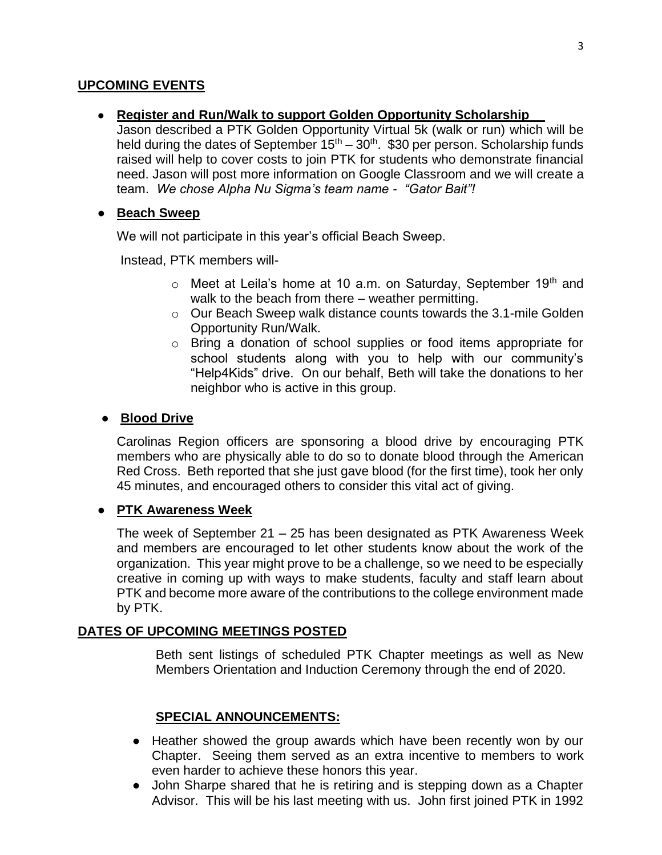## **UPCOMING EVENTS**

## ● **Register and Run/Walk to support Golden Opportunity Scholarship**

Jason described a PTK Golden Opportunity Virtual 5k (walk or run) which will be held during the dates of September  $15<sup>th</sup> - 30<sup>th</sup>$ . \$30 per person. Scholarship funds raised will help to cover costs to join PTK for students who demonstrate financial need. Jason will post more information on Google Classroom and we will create a team. *We chose Alpha Nu Sigma's team name - "Gator Bait"!*

## ● **Beach Sweep**

We will not participate in this year's official Beach Sweep.

Instead, PTK members will-

- $\circ$  Meet at Leila's home at 10 a.m. on Saturday, September 19<sup>th</sup> and walk to the beach from there – weather permitting.
- $\circ$  Our Beach Sweep walk distance counts towards the 3.1-mile Golden Opportunity Run/Walk.
- o Bring a donation of school supplies or food items appropriate for school students along with you to help with our community's "Help4Kids" drive. On our behalf, Beth will take the donations to her neighbor who is active in this group.

## ● **Blood Drive**

Carolinas Region officers are sponsoring a blood drive by encouraging PTK members who are physically able to do so to donate blood through the American Red Cross. Beth reported that she just gave blood (for the first time), took her only 45 minutes, and encouraged others to consider this vital act of giving.

# ● **PTK Awareness Week**

The week of September 21 – 25 has been designated as PTK Awareness Week and members are encouraged to let other students know about the work of the organization. This year might prove to be a challenge, so we need to be especially creative in coming up with ways to make students, faculty and staff learn about PTK and become more aware of the contributions to the college environment made by PTK.

#### **DATES OF UPCOMING MEETINGS POSTED**

Beth sent listings of scheduled PTK Chapter meetings as well as New Members Orientation and Induction Ceremony through the end of 2020.

# **SPECIAL ANNOUNCEMENTS:**

- Heather showed the group awards which have been recently won by our Chapter. Seeing them served as an extra incentive to members to work even harder to achieve these honors this year.
- John Sharpe shared that he is retiring and is stepping down as a Chapter Advisor. This will be his last meeting with us. John first joined PTK in 1992